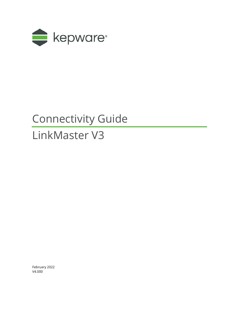

## Connectivity Guide

# LinkMaster V3

February 2022 V4.000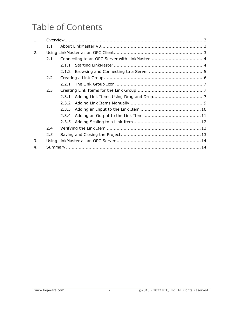## Table of Contents

| 1. |     |       |  |
|----|-----|-------|--|
|    | 1.1 |       |  |
| 2. |     |       |  |
|    | 2.1 |       |  |
|    |     |       |  |
|    |     |       |  |
|    | 2.2 |       |  |
|    |     |       |  |
|    | 2.3 |       |  |
|    |     | 2.3.1 |  |
|    |     | 2.3.2 |  |
|    |     | 2.3.3 |  |
|    |     | 2.3.4 |  |
|    |     |       |  |
|    | 2.4 |       |  |
|    | 2.5 |       |  |
| 3. |     |       |  |
| 4. |     |       |  |
|    |     |       |  |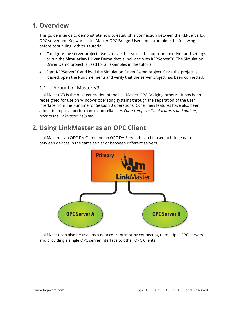## <span id="page-2-0"></span>**1. Overview**

This guide intends to demonstrate how to establish a connection between the KEPServerEX OPC server and Kepware's LinkMaster OPC Bridge. Users must complete the following before continuing with this tutorial:

- Configure the server project. Users may either select the appropriate driver and settings or run the **Simulation Driver Demo** that is included with KEPServerEX. The Simulation Driver Demo project is used for all examples in the tutorial.
- Start KEPServerEX and load the Simulation Driver Demo project. Once the project is loaded, open the Runtime menu and verify that the server project has been connected.

#### <span id="page-2-1"></span>1.1 About LinkMaster V3

LinkMaster V3 is the next generation of the LinkMaster OPC Bridging product. It has been redesigned for use on Windows operating systems through the separation of the user interface from the Runtime for Session 0 operations. Other new features have also been added to improve performance and reliability. *For a complete list of features and options, refer to the LinkMaster help file.*

## <span id="page-2-2"></span>**2. Using LinkMaster as an OPC Client**

LinkMaster is an OPC DA Client and an OPC DA Server. It can be used to bridge data between devices in the same server or between different servers.



LinkMaster can also be used as a data concentrator by connecting to multiple OPC servers and providing a single OPC server interface to other OPC Clients.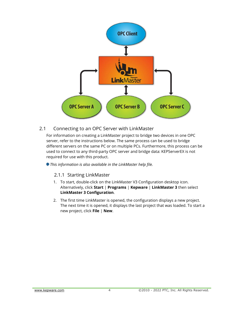

#### <span id="page-3-0"></span>2.1 Connecting to an OPC Server with LinkMaster

For information on creating a LinkMaster project to bridge two devices in one OPC server, refer to the instructions below. The same process can be used to bridge different servers on the same PC or on multiple PCs. Furthermore, this process can be used to connect to any third-party OPC server and bridge data: KEPServerEX is not required for use with this product.

<span id="page-3-1"></span>*This information is also available in the LinkMaster help file.*

#### 2.1.1 Starting LinkMaster

- 1. To start, double-click on the LinkMaster V3 Configuration desktop icon. Alternatively, click **Start** | **Programs** | **Kepware** | **LinkMaster 3** then select **LinkMaster 3 Configuration**.
- 2. The first time LinkMaster is opened, the configuration displays a new project. The next time it is opened, it displays the last project that was loaded. To start a new project, click **File** | **New**.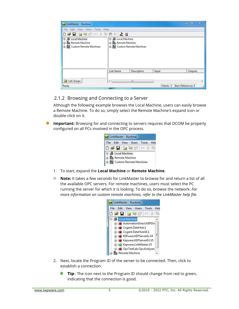

#### <span id="page-4-0"></span>2.1.2 Browsing and Connecting to a Server

Although the following example browses the Local Machine, users can easily browse a Remote Machine. To do so, simply select the Remote Machine's expand icon or double-click on it.

**Important:** Browsing for and connecting to servers requires that DCOM be properly configured on all PCs involved in the OPC process.



- 1. To start, expand the **Local Machine** or **Remote Machine**.
- **Note:** It takes a few seconds for LinkMaster to browse for and return a list of all the available OPC servers. For remote machines, users must select the PC running the server for which it is looking. To do so, browse the network. *For more information on custom remote machines, refer to the LinkMaster help file.*

|                         |                                                                                                           | File Edit View Users Tools | Help |
|-------------------------|-----------------------------------------------------------------------------------------------------------|----------------------------|------|
| 口声日を怒倒った                |                                                                                                           |                            | 眙    |
| <b>E-</b> Local Machine |                                                                                                           |                            |      |
|                         | 由 : 3 Cogent.DataHub.1<br>中心 Cogent.DataHubAE.1<br>File: KEPware.KEPServerEx.V4<br>Repware.KEPServerEX.V5 |                            | Ξ    |

- 2. Next, locate the Program ID of the server to be connected. Then, click to establish a connection.
	- **Tip**: The icon next to the Program ID should change from red to green, indicating that the connection is good.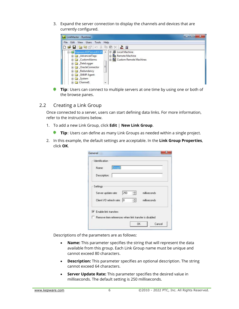3. Expand the server connection to display the channels and devices that are currently configured.



**Tip**: Users can connect to multiple servers at one time by using one or both of the browse panes.

#### <span id="page-5-0"></span>2.2 Creating a Link Group

Once connected to a server, users can start defining data links. For more information, refer to the instructions below.

- 1. To add a new Link Group, click **Edit** | **New Link Group**.
	- **Tip**: Users can define as many Link Groups as needed within a single project.
- 2. In this example, the default settings are acceptable. In the **Link Group Properties**, click **OK**.

| Name:                          | Group0 |                   |
|--------------------------------|--------|-------------------|
| Description:                   |        |                   |
| Settings                       |        |                   |
| Server update rate:            | 250    | milliseconds.     |
| Client I/O refresh rate: 0     |        | ÷<br>milliseconds |
| $\nabla$ Enable link transfers |        |                   |

Descriptions of the parameters are as follows:

- **Name:** This parameter specifies the string that will represent the data available from this group. Each Link Group name must be unique and cannot exceed 80 characters.
- **Description:** This parameter specifies an optional description. The string cannot exceed 64 characters.
- **Server Update Rate:** This parameter specifies the desired value in milliseconds. The default setting is 250 milliseconds.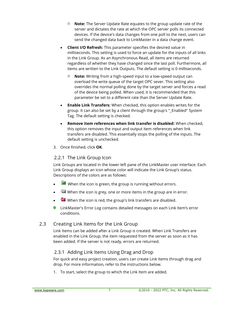- **Note:** The Server Update Rate equates to the group update rate of the server and dictates the rate at which the OPC server polls its connected devices. If the device's data changes from one poll to the next, users can send the changed data back to LinkMaster in a data change event.
- **Client I/O Refresh:** This parameter specifies the desired value in milliseconds. This setting is used to force an update for the inputs of all links in the Link Group. As an Asynchronous Read, all items are returned regardless of whether they have changed since the last poll. Furthermore, all items are written to the Link Outputs. The default setting is 0 milliseconds.
	- **Note:** Writing from a high-speed input to a low-speed output can overload the write queue of the target OPC sever. This setting also overrides the normal polling done by the target server and forces a read of the device being polled. When used, it is recommended that this parameter be set to a different rate than the Server Update Rate.
- **Enable Link Transfers:** When checked, this option enables writes for the group. It can also be set by a client through the group's "\_Enabled" System Tag. The default setting is checked.
- **Remove item references when link transfer is disabled:** When checked, this option removes the input and output item references when link transfers are disabled. This essentially stops the polling of the inputs. The default setting is unchecked.
- 3. Once finished, click **OK**.

#### <span id="page-6-0"></span>2.2.1 The Link Group Icon

Link Groups are located in the lower-left pane of the LinkMaster user interface. Each Link Group displays an icon whose color will indicate the Link Group's status. Descriptions of the colors are as follows:

- $\blacksquare$  When the icon is green, the group is running without errors.
- When the icon is grey, one or more items in the group are in error.
- When the icon is red, the group's link transfers are disabled.
- LinkMaster's Error Log contains detailed messages on each Link Item's error conditions.

#### <span id="page-6-1"></span>2.3 Creating Link Items for the Link Group

Link Items can be added after a Link Group is created. When Link Transfers are enabled in the Link Group, the item requested from the server as soon as it has been added. If the server is not ready, errors are returned.

#### <span id="page-6-2"></span>2.3.1 Adding Link Items Using Drag and Drop

For quick and easy project creation, users can create Link Items through drag and drop. For more information, refer to the instructions below.

1. To start, select the group to which the Link Item are added.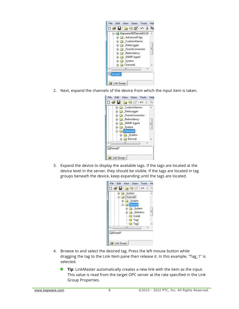

2. Next, expand the channels of the device from which the input item is taken.



3. Expand the device to display the available tags. If the tags are located at the device level in the server, they should be visible. If the tags are located in tag groups beneath the device, keep expanding until the tags are located.

|  | System<br>G Channel1 |                      |  |   |
|--|----------------------|----------------------|--|---|
|  |                      | E-C _System          |  |   |
|  |                      | <b>E-C</b> Devicel   |  |   |
|  |                      | System               |  | E |
|  |                      | Statistics<br>Scale1 |  |   |
|  |                      | $\Box$ Tag1          |  |   |
|  |                      | <b>J</b> Tag2        |  |   |
|  | m                    |                      |  |   |

- 4. Browse to and select the desired tag. Press the left mouse button while dragging the tag to the Link Item pane then release it. In this example, "Tag\_1" is selected.
	- ۰ **Tip**: LinkMaster automatically creates a new link with the item as the input. This value is read from the target OPC server at the rate specified in the Link Group Properties.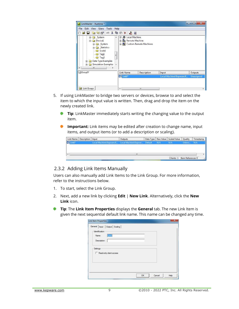

- 5. If using LinkMaster to bridge two servers or devices, browse to and select the item to which the input value is written. Then, drag and drop the item on the newly created link.
	- **Tip**: LinkMaster immediately starts writing the changing value to the output œ. item.
	- **Important:** Link items may be edited after creation to change name, input items, and output items (or to add a description or scaling).

| Link Name Description   Input |                                                              | Outputs |  | Data Type   Raw Value   Scaled Value   Quality |       | Timestamp |
|-------------------------------|--------------------------------------------------------------|---------|--|------------------------------------------------|-------|-----------|
|                               | Local Machine Kepware.K., Local Machine Kepwar., Default N/A |         |  |                                                | Unkno |           |
|                               |                                                              |         |  |                                                |       |           |
|                               |                                                              |         |  |                                                |       |           |
|                               |                                                              |         |  |                                                |       |           |
|                               |                                                              |         |  |                                                |       |           |

#### <span id="page-8-0"></span>2.3.2 Adding Link Items Manually

Users can also manually add Link Items to the Link Group. For more information, refer to the instructions below.

- 1. To start, select the Link Group.
- 2. Next, add a new link by clicking **Edit** | **New Link**. Alternatively, click the **New Link** icon.
- **Tip**: The **Link Item Properties** displays the **General** tab. The new Link Item is given the next sequential default link name. This name can be changed any time.

| -Identification<br><b>Unk0</b><br>Name: |  |  |
|-----------------------------------------|--|--|
| Description:                            |  |  |
| Settings                                |  |  |
| F Read-only client access               |  |  |
|                                         |  |  |
|                                         |  |  |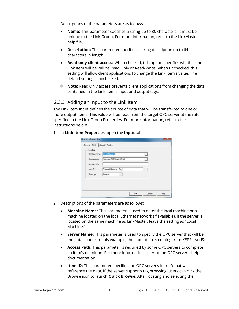Descriptions of the parameters are as follows:

- **Name:** This parameter specifies a string up to 80 characters. It must be unique to the Link Group. For more information, refer to the LinkMaster help file.
- **Description:** This parameter specifies a string description up to 64 characters in length.
- **Read-only client access:** When checked, this option specifies whether the Link Item will be will be Read Only or Read/Write. When unchecked, this setting will allow client applications to change the Link Item's value. The default setting is unchecked.
- **Note:** Read Only access prevents client applications from changing the data contained in the Link Item's input and output tags.

#### <span id="page-9-0"></span>2.3.3 Adding an Input to the Link Item

The Link Item Input defines the source of data that will be transferred to one or more output items. This value will be read from the target OPC server at the rate specified in the Link Group Properties. For more information, refer to the instructions below.

1. In **Link Item Properties**, open the **Input** tab.

|              |                        | $\blacktriangledown$     |  |
|--------------|------------------------|--------------------------|--|
| Server name: | Kepware.KEPServerEX.V5 | $\blacktriangledown$     |  |
| Access path: |                        |                          |  |
| Item ID:     | Channel1.Device1.Tag1  | $\overline{\phantom{a}}$ |  |
| Data type:   | Default<br>۰           |                          |  |

- 2. Descriptions of the parameters are as follows:
	- **Machine Name:** This parameter is used to enter the local machine or a machine located on the local Ethernet network (if available). If the server is located on the same machine as LinkMaster, leave the setting as "Local Machine."
	- **Server Name:** This parameter is used to specify the OPC server that will be the data source. In this example, the input data is coming from KEPServerEX.
	- **Access Path:** This parameter is required by some OPC servers to complete an item's definition. For more information, refer to the OPC server's help documentation.
	- **Item ID:** This parameter specifies the OPC server's Item ID that will reference the data. If the server supports tag browsing, users can click the Browse icon to launch **Quick Browse**. After locating and selecting the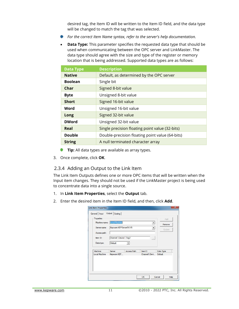desired tag, the Item ID will be written to the Item ID field, and the data type will be changed to match the tag that was selected.

- *For the correct Item Name syntax, refer to the server's help documentation.*
- **Data Type:** This parameter specifies the requested data type that should be used when communicating between the OPC server and LinkMaster. The data type should agree with the size and type of the register or memory location that is being addressed. Supported data types are as follows:

| <b>Data Type</b> | <b>Description</b>                              |
|------------------|-------------------------------------------------|
| <b>Native</b>    | Default, as determined by the OPC server        |
| <b>Boolean</b>   | Single bit                                      |
| Char             | Signed 8-bit value                              |
| <b>Byte</b>      | Unsigned 8-bit value                            |
| <b>Short</b>     | Signed 16-bit value                             |
| Word             | Unsigned 16-bit value                           |
| Long             | Signed 32-bit value                             |
| <b>DWord</b>     | Unsigned 32-bit value                           |
| Real             | Single precision floating point value (32-bits) |
| <b>Double</b>    | Double-precision floating point value (64-bits) |
| <b>String</b>    | A null terminated character array               |

- **Tip:** All data types are available as array types.
- 3. Once complete, click **OK**.

#### <span id="page-10-0"></span>2.3.4 Adding an Output to the Link Item

The Link Item Outputs defines one or more OPC items that will be written when the Input item changes. They should not be used if the LinkMaster project is being used to concentrate data into a single source.

- 1. In **Link Item Properties**, select the **Output** tab.
- 2. Enter the desired item in the Item ID field, and then, click **Add**.

| Machine name:                | Local Machine         |                        | $\blacktriangledown$ | Remove        |
|------------------------------|-----------------------|------------------------|----------------------|---------------|
| Server name:<br>Access path: |                       | Kepware.KEPServerEX.V5 | $\blacktriangledown$ | <b>Update</b> |
| Item ID:                     | Channel1.Device1.Tag2 |                        | $\sim$               |               |
| Data type:                   | Default               | ▼                      |                      |               |
| Machine                      | Server                | Access Path            | Item ID              | Data Type     |
| Local Machine                | Kepware.KEP           |                        | Channel1.Devi        | Default       |
|                              |                       |                        |                      |               |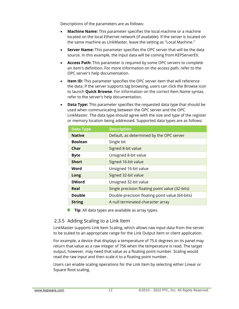Descriptions of the parameters are as follows:

- **Machine Name:** This parameter specifies the local machine or a machine located on the local Ethernet network (if available). If the server is located on the same machine as LinkMaster, leave the setting as "Local Machine."
- **Server Name:** This parameter specifies the OPC server that will be the data source. In this example, the Input data will be coming from KEPServerEX.
- **Access Path:** This parameter is required by some OPC servers to complete an item's definition. For more information on the access path, refer to the OPC server's help documentation.
- **Item ID:** This parameter specifies the OPC server item that will reference the data. If the server supports tag browsing, users can click the Browse icon to launch **Quick Browse**. For information on the correct Item Name syntax, refer to the server's help documentation.
- **Data Type:** This parameter specifies the requested data type that should be used when communicating between the OPC server and the OPC LinkMaster. The data type should agree with the size and type of the register or memory location being addressed. Supported data types are as follows:

| <b>Data Type</b> | <b>Description</b>                              |
|------------------|-------------------------------------------------|
| <b>Native</b>    | Default, as determined by the OPC server        |
| <b>Boolean</b>   | Single bit                                      |
| Char             | Signed 8-bit value                              |
| <b>Byte</b>      | Unsigned 8-bit value                            |
| <b>Short</b>     | Signed 16-bit value                             |
| Word             | Unsigned 16-bit value                           |
| Long             | Signed 32-bit value                             |
| <b>DWord</b>     | Unsigned 32-bit value                           |
| Real             | Single precision floating point value (32-bits) |
| <b>Double</b>    | Double-precision floating point value (64-bits) |
| <b>String</b>    | A null terminated character array               |

**Tip**: All data types are available as array types.

#### <span id="page-11-0"></span>2.3.5 Adding Scaling to a Link Item

LinkMaster supports Link Item Scaling, which allows raw input data from the server to be scaled to an appropriate range for the Link Output item or client application.

For example, a device that displays a temperature of 75.6 degrees on its panel may return that value as a raw integer of 756 when the temperature is read. The target output, however, may need that value as a floating point number. Scaling would read the raw input and then scale it to a floating point number.

Users can enable scaling operations for the Link Item by selecting either Linear or Square Root scaling.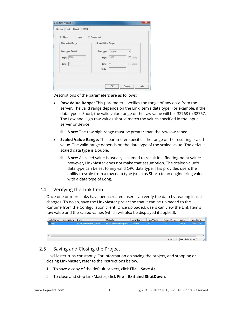| C None C Linear    | C Square root      |                |
|--------------------|--------------------|----------------|
| Raw Value Range    | Scaled Value Range |                |
| Data type: Default | Data type: Double  | $\mathcal{A}$  |
| High: 1000         | High: 1000         | $\Gamma$ Clamp |
| Low: $\boxed{0}$   | 10.<br>Low:        | $\Gamma$ Clamp |
|                    | Units:             |                |

Descriptions of the parameters are as follows:

- **Raw Value Range:** This parameter specifies the range of raw data from the server. The valid range depends on the Link Item's data type. For example, if the data type is Short, the valid value range of the raw value will be -32768 to 32767. The Low and High raw values should match the values specified in the input server or device.
	- **Note:** The raw high range must be greater than the raw low range.
- **Scaled Value Range:** This parameter specifies the range of the resulting scaled value. The valid range depends on the data type of the scaled value. The default scaled data type is Double.
	- **Note:** A scaled value is usually assumed to result in a floating-point value; however, LinkMaster does not make that assumption. The scaled value's data type can be set to any valid OPC data type. This provides users the ability to scale from a raw data type (such as Short) to an engineering value with a data type of Long.

#### <span id="page-12-0"></span>2.4 Verifying the Link Item

Once one or more links have been created, users can verify the data by reading it as it changes. To do so, save the LinkMaster project so that it can be uploaded to the Runtime from the Configuration client. Once uploaded, users can view the Link Item's raw value and the scaled values (which will also be displayed if applied).

| Link Name        | Description | Input                                                | <b>Outputs</b> | Data Type | <b>Raw Value</b> | Scaled Value | Quality | Timestamp    |
|------------------|-------------|------------------------------------------------------|----------------|-----------|------------------|--------------|---------|--------------|
| <b>But Link0</b> |             | Local Machine\Kepware.K Local Machine\Kepwar Default |                |           | -33.             |              | Good    | 15:19:04:791 |
|                  |             |                                                      |                |           |                  |              |         |              |
|                  |             |                                                      |                |           |                  |              |         |              |
|                  |             |                                                      |                |           |                  |              |         |              |
|                  |             |                                                      |                |           |                  |              |         |              |
|                  |             |                                                      | m              |           |                  |              |         |              |

#### <span id="page-12-1"></span>2.5 Saving and Closing the Project

LinkMaster runs constantly. For information on saving the project, and stopping or closing LinkMaster, refer to the instructions below.

- 1. To save a copy of the default project, click **File** | **Save As**.
- 2. To close and stop LinkMaster, click **File** | **Exit and ShutDown**.